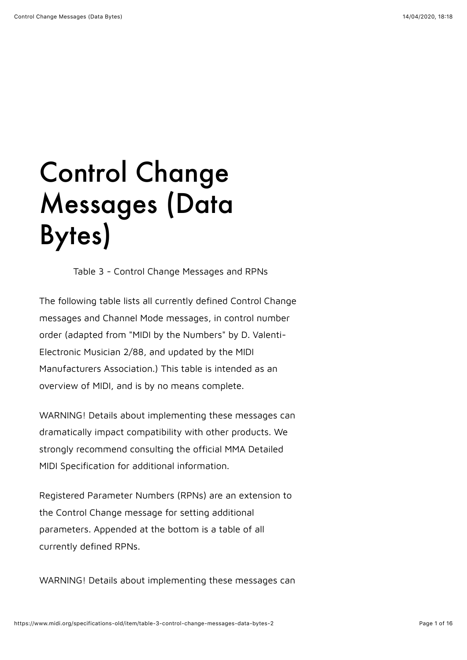## Control Change Messages (Data Bytes)

Table 3 - Control Change Messages and RPNs

The following table lists all currently defined Control Change messages and Channel Mode messages, in control number order (adapted from "MIDI by the Numbers" by D. Valenti-Electronic Musician 2/88, and updated by the MIDI Manufacturers Association.) This table is intended as an overview of MIDI, and is by no means complete.

WARNING! Details about implementing these messages can dramatically impact compatibility with other products. We strongly recommend consulting the official MMA Detailed MIDI Specification for additional information.

Registered Parameter Numbers (RPNs) are an extension to the Control Change message for setting additional parameters. Appended at the bottom is a table of all currently defined RPNs.

WARNING! Details about implementing these messages can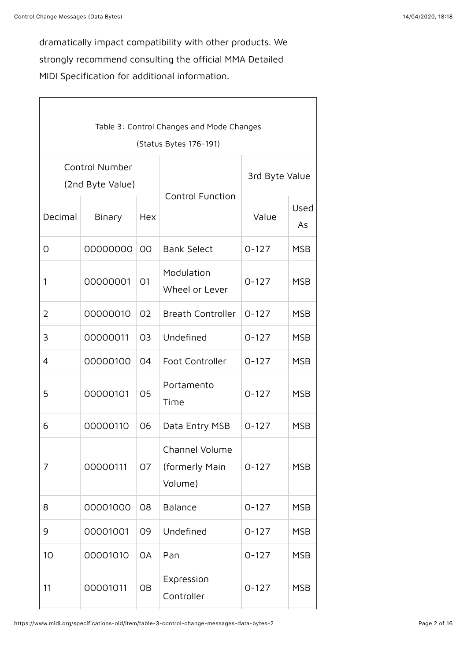dramatically impact compatibility with other products. We strongly recommend consulting the official MMA Detailed MIDI Specification for additional information.

| Table 3: Control Changes and Mode Changes |                                           |                |                                             |                |            |  |
|-------------------------------------------|-------------------------------------------|----------------|---------------------------------------------|----------------|------------|--|
| (Status Bytes 176-191)                    |                                           |                |                                             |                |            |  |
|                                           | <b>Control Number</b><br>(2nd Byte Value) |                |                                             | 3rd Byte Value |            |  |
|                                           |                                           |                | <b>Control Function</b>                     |                |            |  |
| Decimal                                   | Binary                                    | Hex            |                                             | Value          | Used<br>As |  |
| O                                         | 00000000                                  | OO             | <b>Bank Select</b>                          | $0 - 127$      | <b>MSB</b> |  |
| 1                                         | 00000001                                  | O <sub>1</sub> | Modulation<br>Wheel or Lever                | $0 - 127$      | <b>MSB</b> |  |
| 2                                         | 00000010                                  | 02             | <b>Breath Controller</b>                    | $0 - 127$      | <b>MSB</b> |  |
| 3                                         | 00000011                                  | O <sub>3</sub> | Undefined                                   | $0 - 127$      | <b>MSB</b> |  |
| 4                                         | 00000100                                  | 04             | Foot Controller                             | $0 - 127$      | <b>MSB</b> |  |
| 5                                         | 00000101                                  | 05             | Portamento<br>Time                          | $0 - 127$      | <b>MSB</b> |  |
| 6                                         | 00000110                                  | 06             | Data Entry MSB                              | $0 - 127$      | <b>MSB</b> |  |
| 7                                         | 00000111                                  | 07             | Channel Volume<br>(formerly Main<br>Volume) | $0 - 127$      | <b>MSB</b> |  |
| 8                                         | 00001000                                  | 08             | Balance                                     | $0 - 127$      | <b>MSB</b> |  |
| 9                                         | 00001001                                  | 09             | Undefined                                   | $0 - 127$      | <b>MSB</b> |  |
| 10                                        | 00001010                                  | <b>OA</b>      | Pan                                         | $0 - 127$      | <b>MSB</b> |  |
| 11                                        | 00001011                                  | OB             | Expression<br>Controller                    | $0 - 127$      | <b>MSB</b> |  |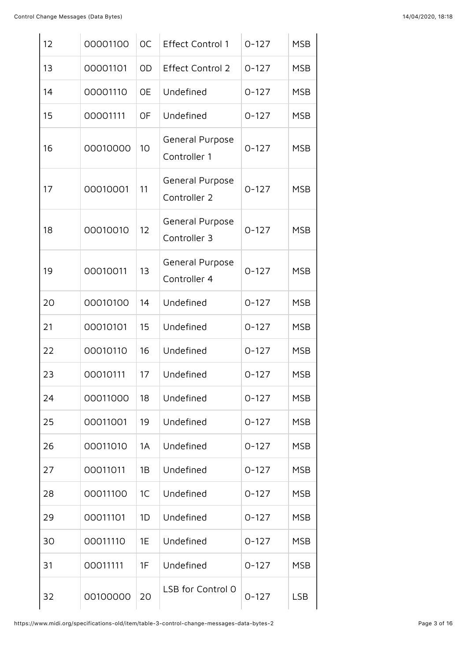| 12 | 00001100 | <b>OC</b> | <b>Effect Control 1</b>         | $0 - 127$ | <b>MSB</b> |
|----|----------|-----------|---------------------------------|-----------|------------|
| 13 | 00001101 | <b>OD</b> | <b>Effect Control 2</b>         | $0 - 127$ | <b>MSB</b> |
| 14 | 00001110 | <b>OE</b> | Undefined                       | $0 - 127$ | <b>MSB</b> |
| 15 | 00001111 | <b>OF</b> | Undefined                       | $0 - 127$ | <b>MSB</b> |
| 16 | 00010000 | 10        | General Purpose<br>Controller 1 | $0 - 127$ | <b>MSB</b> |
| 17 | 00010001 | 11        | General Purpose<br>Controller 2 | $0 - 127$ | <b>MSB</b> |
| 18 | 00010010 | 12        | General Purpose<br>Controller 3 | $0 - 127$ | <b>MSB</b> |
| 19 | 00010011 | 13        | General Purpose<br>Controller 4 | $0 - 127$ | <b>MSB</b> |
| 20 | 00010100 | 14        | Undefined                       | $0 - 127$ | <b>MSB</b> |
| 21 | 00010101 | 15        | Undefined                       | $0 - 127$ | <b>MSB</b> |
| 22 | 00010110 | 16        | Undefined                       | $0 - 127$ | <b>MSB</b> |
| 23 | 00010111 | 17        | Undefined                       | $0 - 127$ | <b>MSB</b> |
| 24 | 00011000 | 18        | Undefined                       | $0 - 127$ | <b>MSB</b> |
| 25 | 00011001 | 19        | Undefined                       | $0 - 127$ | <b>MSB</b> |
| 26 | 00011010 | 1A        | Undefined                       | $0 - 127$ | <b>MSB</b> |
| 27 | 00011011 | 1B        | Undefined                       | $0 - 127$ | <b>MSB</b> |
| 28 | 00011100 | 1C        | Undefined                       | $0 - 127$ | <b>MSB</b> |
| 29 | 00011101 | 1D        | Undefined                       | $0 - 127$ | <b>MSB</b> |
| 30 | 00011110 | 1E        | Undefined                       | $0 - 127$ | <b>MSB</b> |
| 31 | 00011111 | 1F        | Undefined                       | $0 - 127$ | <b>MSB</b> |
| 32 | 00100000 | 20        | LSB for Control 0               | $0 - 127$ | <b>LSB</b> |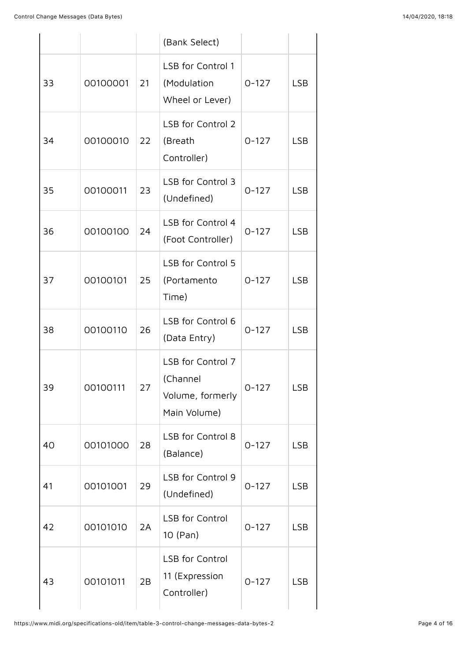|    |          |    | (Bank Select)                                                     |           |            |
|----|----------|----|-------------------------------------------------------------------|-----------|------------|
| 33 | 00100001 | 21 | LSB for Control 1<br>(Modulation<br>Wheel or Lever)               | $0 - 127$ | <b>LSB</b> |
| 34 | 00100010 | 22 | LSB for Control 2<br>(Breath<br>Controller)                       | $0 - 127$ | <b>LSB</b> |
| 35 | 00100011 | 23 | LSB for Control 3<br>(Undefined)                                  | $0 - 127$ | <b>LSB</b> |
| 36 | 00100100 | 24 | LSB for Control 4<br>(Foot Controller)                            | $0 - 127$ | <b>LSB</b> |
| 37 | 00100101 | 25 | LSB for Control 5<br>(Portamento<br>Time)                         | $0 - 127$ | <b>LSB</b> |
| 38 | 00100110 | 26 | LSB for Control 6<br>(Data Entry)                                 | $0 - 127$ | <b>LSB</b> |
| 39 | 00100111 | 27 | LSB for Control 7<br>(Channel<br>Volume, formerly<br>Main Volume) | $0 - 127$ | <b>LSB</b> |
| 40 | 00101000 | 28 | LSB for Control 8<br>(Balance)                                    | $0 - 127$ | <b>LSB</b> |
| 41 | 00101001 | 29 | LSB for Control 9<br>(Undefined)                                  | $0 - 127$ | <b>LSB</b> |
| 42 | 00101010 | 2A | <b>LSB</b> for Control<br>10 (Pan)                                | $0 - 127$ | <b>LSB</b> |
| 43 | 00101011 | 2B | <b>LSB</b> for Control<br>11 (Expression<br>Controller)           | $0 - 127$ | <b>LSB</b> |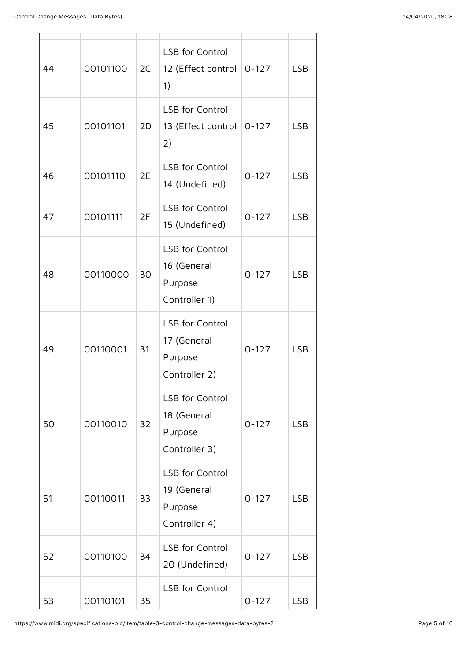| 44 | 00101100 | 2C | <b>LSB</b> for Control<br>12 (Effect control<br>1)                | $0 - 127$ | <b>LSB</b> |
|----|----------|----|-------------------------------------------------------------------|-----------|------------|
| 45 | 00101101 | 2D | <b>LSB</b> for Control<br>13 (Effect control<br>2)                | $0 - 127$ | <b>LSB</b> |
| 46 | 00101110 | 2E | <b>LSB</b> for Control<br>14 (Undefined)                          | $0 - 127$ | <b>LSB</b> |
| 47 | 00101111 | 2F | <b>LSB</b> for Control<br>15 (Undefined)                          | $0 - 127$ | <b>LSB</b> |
| 48 | 00110000 | 30 | <b>LSB</b> for Control<br>16 (General<br>Purpose<br>Controller 1) | $0 - 127$ | <b>LSB</b> |
| 49 | 00110001 | 31 | <b>LSB</b> for Control<br>17 (General<br>Purpose<br>Controller 2) | $0 - 127$ | <b>LSB</b> |
| 50 | 00110010 | 32 | <b>LSB</b> for Control<br>18 (General<br>Purpose<br>Controller 3) | $0 - 127$ | <b>LSB</b> |
| 51 | 00110011 | 33 | <b>LSB</b> for Control<br>19 (General<br>Purpose<br>Controller 4) | $0 - 127$ | <b>LSB</b> |
| 52 | 00110100 | 34 | <b>LSB</b> for Control<br>20 (Undefined)                          | $0 - 127$ | <b>LSB</b> |
| 53 | 00110101 | 35 | <b>LSB</b> for Control                                            | $0 - 127$ | <b>LSB</b> |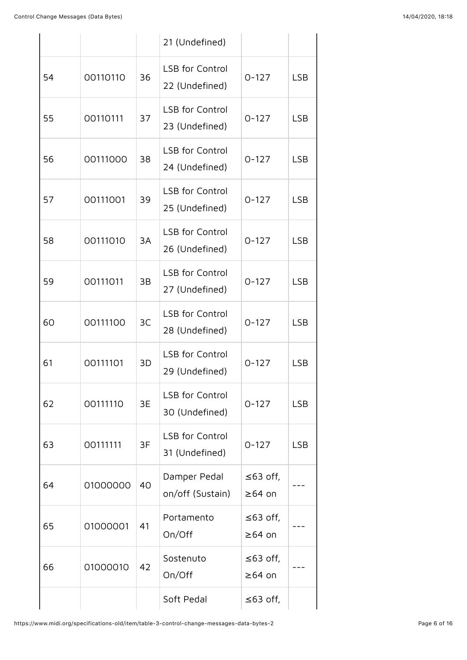|    |          |    | 21 (Undefined)                           |                          |            |
|----|----------|----|------------------------------------------|--------------------------|------------|
| 54 | 00110110 | 36 | <b>LSB</b> for Control<br>22 (Undefined) | $0 - 127$                | <b>LSB</b> |
| 55 | 00110111 | 37 | <b>LSB</b> for Control<br>23 (Undefined) | $0 - 127$                | <b>LSB</b> |
| 56 | 00111000 | 38 | <b>LSB for Control</b><br>24 (Undefined) | $0 - 127$                | <b>LSB</b> |
| 57 | 00111001 | 39 | <b>LSB for Control</b><br>25 (Undefined) | $0 - 127$                | <b>LSB</b> |
| 58 | 00111010 | 3A | <b>LSB</b> for Control<br>26 (Undefined) | $0 - 127$                | <b>LSB</b> |
| 59 | 00111011 | 3B | <b>LSB</b> for Control<br>27 (Undefined) | $0 - 127$                | <b>LSB</b> |
| 60 | 00111100 | 3C | <b>LSB</b> for Control<br>28 (Undefined) | $0 - 127$                | <b>LSB</b> |
| 61 | 00111101 | 3D | <b>LSB</b> for Control<br>29 (Undefined) | $0 - 127$                | <b>LSB</b> |
| 62 | 00111110 | 3E | <b>LSB</b> for Control<br>30 (Undefined) | $0 - 127$                | <b>LSB</b> |
| 63 | 00111111 | 3F | <b>LSB</b> for Control<br>31 (Undefined) | $0 - 127$                | <b>LSB</b> |
| 64 | 01000000 | 40 | Damper Pedal<br>on/off (Sustain)         | ≤63 off,<br>$\geq 64$ on |            |
| 65 | 01000001 | 41 | Portamento<br>On/Off                     | ≤63 off,<br>$≥64$ on     |            |
| 66 | 01000010 | 42 | Sostenuto<br>On/Off                      | ≤63 off,<br>≥64 on       |            |
|    |          |    | Soft Pedal                               | ≤63 off,                 |            |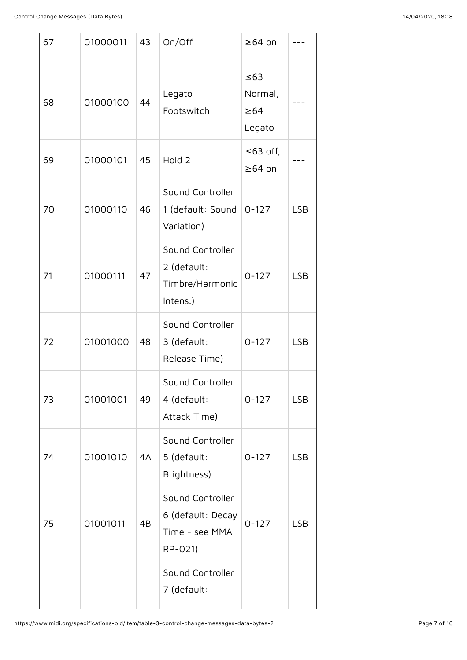| 67 | 01000011 | 43 | On/Off                                                             | $\geq 64$ on                                |            |
|----|----------|----|--------------------------------------------------------------------|---------------------------------------------|------------|
| 68 | 01000100 | 44 | Legato<br>Footswitch                                               | $\leq 63$<br>Normal,<br>$\geq 64$<br>Legato |            |
| 69 | 01000101 | 45 | Hold 2                                                             | $\leq$ 63 off,<br>$\geq 64$ on              |            |
| 70 | 01000110 | 46 | Sound Controller<br>1 (default: Sound<br>Variation)                | $0 - 127$                                   | <b>LSB</b> |
| 71 | 01000111 | 47 | Sound Controller<br>2 (default:<br>Timbre/Harmonic<br>Intens.)     | $0 - 127$                                   | <b>LSB</b> |
| 72 | 01001000 | 48 | Sound Controller<br>3 (default:<br>Release Time)                   | $0 - 127$                                   | <b>LSB</b> |
| 73 | 01001001 | 49 | Sound Controller<br>4 (default:<br>Attack Time)                    | $0 - 127$                                   | <b>LSB</b> |
| 74 | 01001010 | 4A | Sound Controller<br>5 (default:<br>Brightness)                     | $0 - 127$                                   | <b>LSB</b> |
| 75 | 01001011 | 4B | Sound Controller<br>6 (default: Decay<br>Time - see MMA<br>RP-021) | $0 - 127$                                   | <b>LSB</b> |
|    |          |    | Sound Controller<br>7 (default:                                    |                                             |            |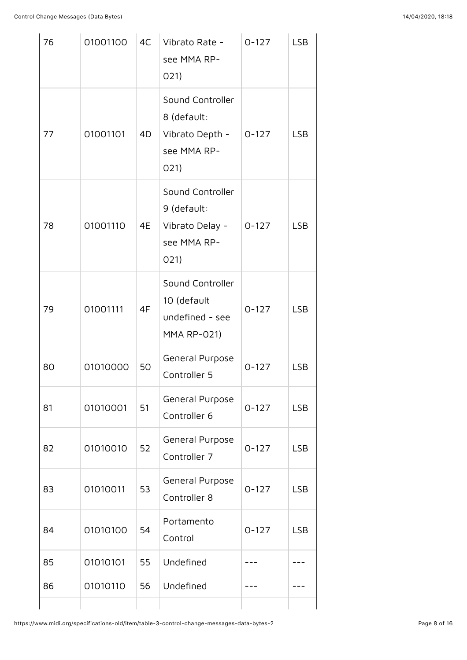| 76 | 01001100 | 4C | Vibrato Rate -<br>see MMA RP-<br>O(21)                                     | $0 - 127$ | <b>LSB</b> |
|----|----------|----|----------------------------------------------------------------------------|-----------|------------|
| 77 | 01001101 | 4D | Sound Controller<br>8 (default:<br>Vibrato Depth -<br>see MMA RP-<br>O(21) | $0-127$   | <b>LSB</b> |
| 78 | 01001110 | 4E | Sound Controller<br>9 (default:<br>Vibrato Delay -<br>see MMA RP-<br>O(21) | $0 - 127$ | <b>LSB</b> |
| 79 | 01001111 | 4F | Sound Controller<br>10 (default<br>undefined - see<br><b>MMA RP-021)</b>   | $0 - 127$ | <b>LSB</b> |
| 80 | 01010000 | 50 | General Purpose<br>Controller 5                                            | $0 - 127$ | <b>LSB</b> |
| 81 | 01010001 | 51 | General Purpose<br>Controller 6                                            | $0 - 127$ | <b>LSB</b> |
| 82 | 01010010 | 52 | General Purpose<br>Controller 7                                            | $0 - 127$ | <b>LSB</b> |
| 83 | 01010011 | 53 | General Purpose<br>Controller 8                                            | $0 - 127$ | <b>LSB</b> |
| 84 | 01010100 | 54 | Portamento<br>Control                                                      | $0 - 127$ | <b>LSB</b> |
| 85 | 01010101 | 55 | Undefined                                                                  |           |            |
| 86 | 01010110 | 56 | Undefined                                                                  |           |            |
|    |          |    |                                                                            |           |            |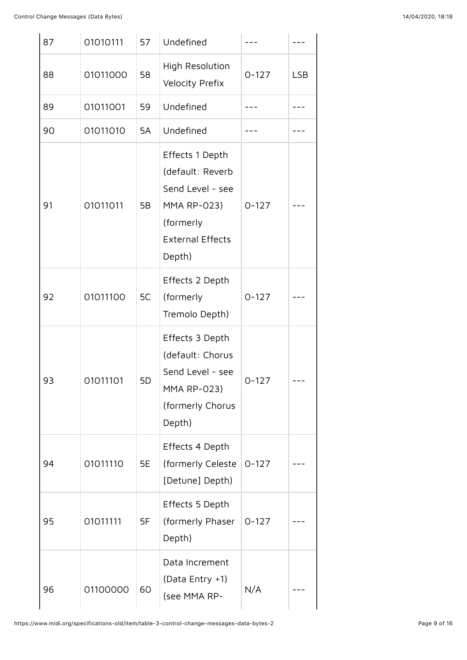| 87 | 01010111 | 57 | Undefined                                                                                                                       |           |            |
|----|----------|----|---------------------------------------------------------------------------------------------------------------------------------|-----------|------------|
| 88 | 01011000 | 58 | High Resolution<br>Velocity Prefix                                                                                              | $0 - 127$ | <b>LSB</b> |
| 89 | 01011001 | 59 | Undefined                                                                                                                       |           |            |
| 90 | 01011010 | 5A | Undefined                                                                                                                       |           |            |
| 91 | 01011011 | 5B | Effects 1 Depth<br>(default: Reverb<br>Send Level - see<br><b>MMA RP-023)</b><br>(formerly<br><b>External Effects</b><br>Depth) | $0 - 127$ |            |
| 92 | 01011100 | 5C | Effects 2 Depth<br>(formerly<br>Tremolo Depth)                                                                                  | $0 - 127$ |            |
| 93 | 01011101 | 5D | Effects 3 Depth<br>(default: Chorus<br>Send Level - see<br><b>MMA RP-023)</b><br>(formerly Chorus<br>Depth)                     | 0-127     |            |
| 94 | 01011110 | 5E | Effects 4 Depth<br>(formerly Celeste<br>[Detune] Depth)                                                                         | $0 - 127$ |            |
| 95 | 01011111 | 5F | Effects 5 Depth<br>(formerly Phaser<br>Depth)                                                                                   | $0 - 127$ |            |
| 96 | 01100000 | 60 | Data Increment<br>(Data Entry +1)<br>(see MMA RP-                                                                               | N/A       |            |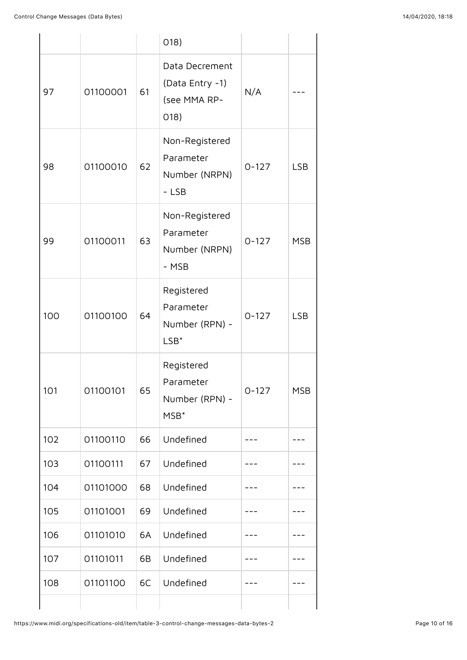|     |          |    | 018)                                                          |           |            |
|-----|----------|----|---------------------------------------------------------------|-----------|------------|
| 97  | 01100001 | 61 | Data Decrement<br>(Data Entry -1)<br>(see MMA RP-<br>O(18)    | N/A       |            |
| 98  | 01100010 | 62 | Non-Registered<br>Parameter<br>Number (NRPN)<br>$-LSB$        | $0 - 127$ | <b>LSB</b> |
| 99  | 01100011 | 63 | Non-Registered<br>Parameter<br>Number (NRPN)<br>- MSB         | $0 - 127$ | <b>MSB</b> |
| 100 | 01100100 | 64 | Registered<br>Parameter<br>Number (RPN) -<br>$LSB*$           | $0 - 127$ | <b>LSB</b> |
| 101 | 01100101 | 65 | Registered<br>Parameter<br>Number (RPN) -<br>MSB <sup>*</sup> | $0 - 127$ | <b>MSB</b> |
| 102 | 01100110 | 66 | Undefined                                                     |           |            |
| 103 | 01100111 | 67 | Undefined                                                     |           |            |
| 104 | 01101000 | 68 | Undefined                                                     |           |            |
| 105 | 01101001 | 69 | Undefined                                                     |           |            |
| 106 | 01101010 | 6A | Undefined                                                     |           |            |
| 107 | 01101011 | 6B | Undefined                                                     |           |            |
| 108 | 01101100 | 6C | Undefined                                                     |           |            |
|     |          |    |                                                               |           |            |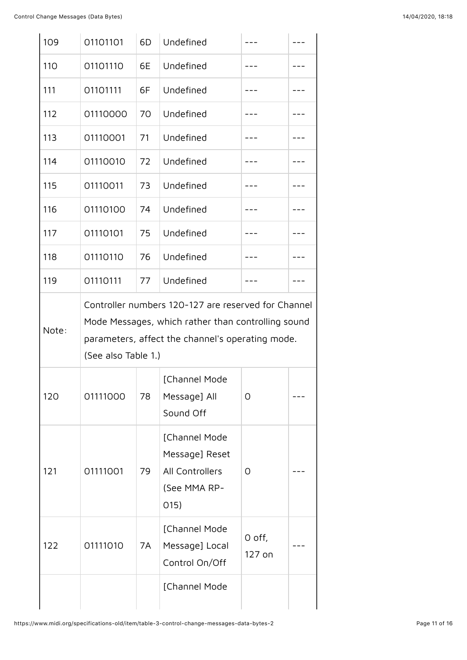| 109   | 01101101                                                                                                                                                                             | 6D | Undefined                                                                   |                  |  |  |
|-------|--------------------------------------------------------------------------------------------------------------------------------------------------------------------------------------|----|-----------------------------------------------------------------------------|------------------|--|--|
| 110   | 01101110                                                                                                                                                                             | 6E | Undefined                                                                   |                  |  |  |
| 111   | 01101111                                                                                                                                                                             | 6F | Undefined                                                                   |                  |  |  |
| 112   | 01110000                                                                                                                                                                             | 70 | Undefined                                                                   |                  |  |  |
| 113   | 01110001                                                                                                                                                                             | 71 | Undefined                                                                   |                  |  |  |
| 114   | 01110010                                                                                                                                                                             | 72 | Undefined                                                                   |                  |  |  |
| 115   | 01110011                                                                                                                                                                             | 73 | Undefined                                                                   |                  |  |  |
| 116   | 01110100                                                                                                                                                                             | 74 | Undefined                                                                   |                  |  |  |
| 117   | 01110101                                                                                                                                                                             | 75 | Undefined                                                                   |                  |  |  |
| 118   | 01110110                                                                                                                                                                             | 76 | Undefined                                                                   |                  |  |  |
| 119   | 01110111                                                                                                                                                                             | 77 | Undefined                                                                   |                  |  |  |
|       | Controller numbers 120-127 are reserved for Channel<br>Mode Messages, which rather than controlling sound<br>parameters, affect the channel's operating mode.<br>(See also Table 1.) |    |                                                                             |                  |  |  |
| Note: |                                                                                                                                                                                      |    |                                                                             |                  |  |  |
| 120   | 01111000                                                                                                                                                                             | 78 | [Channel Mode<br>Message] All<br>Sound Off                                  | 0                |  |  |
| 121   | 01111001                                                                                                                                                                             | 79 | [Channel Mode<br>Message] Reset<br>All Controllers<br>(See MMA RP-<br>O(15) | O                |  |  |
| 122   | 01111010                                                                                                                                                                             | 7A | [Channel Mode<br>Message] Local<br>Control On/Off                           | O off,<br>127 on |  |  |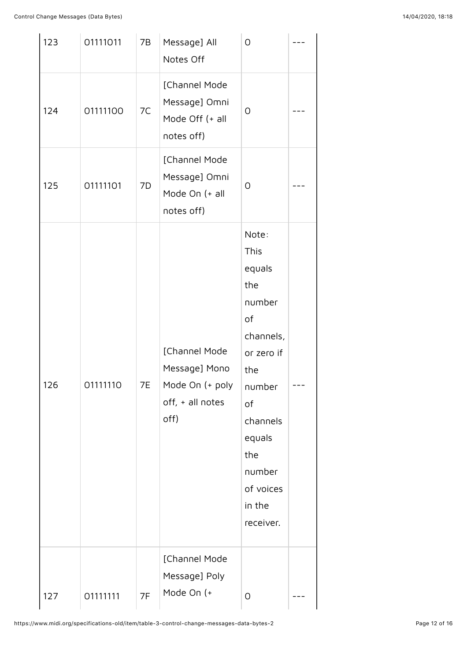| 123 | 01111011 | 7B | Message] All<br>Notes Off                                                     | $\overline{O}$                                                                                                                                                                     |  |
|-----|----------|----|-------------------------------------------------------------------------------|------------------------------------------------------------------------------------------------------------------------------------------------------------------------------------|--|
| 124 | 01111100 | 7C | [Channel Mode<br>Message] Omni<br>Mode Off (+ all<br>notes off)               | O                                                                                                                                                                                  |  |
| 125 | 01111101 | 7D | [Channel Mode<br>Message] Omni<br>Mode On (+ all<br>notes off)                | $\overline{O}$                                                                                                                                                                     |  |
| 126 | 01111110 | 7E | [Channel Mode<br>Message] Mono<br>Mode On (+ poly<br>off, + all notes<br>off) | Note:<br><b>This</b><br>equals<br>the<br>number<br>of<br>channels,<br>or zero if<br>the<br>number<br>of<br>channels<br>equals<br>the<br>number<br>of voices<br>in the<br>receiver. |  |
| 127 | 01111111 | 7F | [Channel Mode<br>Message] Poly<br>Mode On (+                                  | 0                                                                                                                                                                                  |  |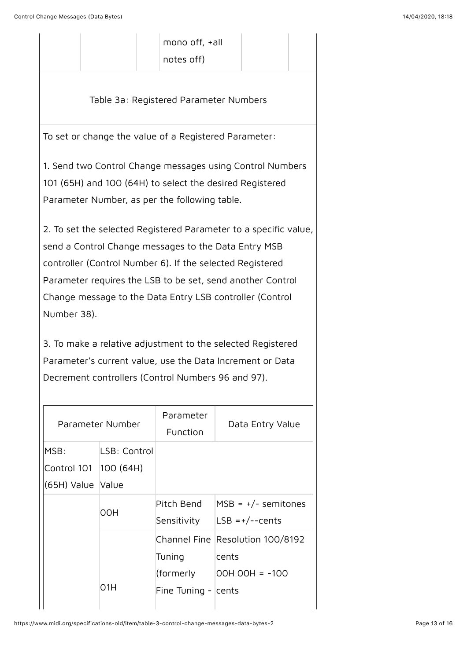| mono off, +all |
|----------------|
| notes off)     |

Table 3a: Registered Parameter Numbers

To set or change the value of a Registered Parameter:

1. Send two Control Change messages using Control Numbers 101 (65H) and 100 (64H) to select the desired Registered Parameter Number, as per the following table.

2. To set the selected Registered Parameter to a specific value, send a Control Change messages to the Data Entry MSB controller (Control Number 6). If the selected Registered Parameter requires the LSB to be set, send another Control Change message to the Data Entry LSB controller (Control Number 38).

3. To make a relative adjustment to the selected Registered Parameter's current value, use the Data Increment or Data Decrement controllers (Control Numbers 96 and 97).

| Parameter Number  |              | Parameter<br>Function  | Data Entry Value                 |
|-------------------|--------------|------------------------|----------------------------------|
| MSB:              | LSB: Control |                        |                                  |
| Control 101       | 100(64H)     |                        |                                  |
| (65H) Value Value |              |                        |                                  |
|                   |              | Pitch Bend             | $MSB = +/-$ semitones            |
|                   | 00H          | Sensitivity            | $LSB = +/--cents$                |
|                   |              |                        | Channel Fine Resolution 100/8192 |
|                   |              | Tuning                 | cents                            |
|                   |              | (formerly              | OOH OOH = -100                   |
|                   | O1H          | Fine Tuning - $ cents$ |                                  |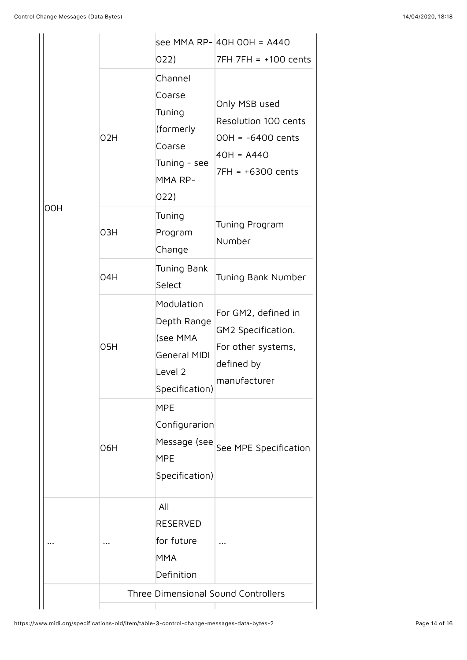|            |                                     |                                                                                           | see MMA RP- 40H 00H = A440                                                                          |  |
|------------|-------------------------------------|-------------------------------------------------------------------------------------------|-----------------------------------------------------------------------------------------------------|--|
| <b>OOH</b> |                                     | 022)                                                                                      | 7FH 7FH = +100 cents                                                                                |  |
|            | 02H                                 | Channel<br>Coarse<br>Tuning<br>(formerly<br>Coarse<br>Tuning - see<br>MMA RP-<br>022)     | Only MSB used<br>Resolution 100 cents<br>$00H = -6400$ cents<br>$40H = A440$<br>$7FH = +6300$ cents |  |
|            | O3H                                 | Tuning<br>Program<br>Change                                                               | Tuning Program<br>Number                                                                            |  |
|            | 04H                                 | Tuning Bank<br>Select                                                                     | Tuning Bank Number                                                                                  |  |
|            | 05H                                 | Modulation<br>Depth Range<br>(see MMA<br><b>General MIDI</b><br>Level 2<br>Specification) | For GM2, defined in<br>GM2 Specification.<br>For other systems,<br>defined by<br>manufacturer       |  |
|            | O6H                                 | <b>MPE</b><br>Configurarion<br>Message (see<br><b>MPE</b><br>Specification)               | See MPE Specification                                                                               |  |
|            |                                     | All<br><b>RESERVED</b><br>for future<br><b>MMA</b><br>Definition                          |                                                                                                     |  |
|            | Three Dimensional Sound Controllers |                                                                                           |                                                                                                     |  |